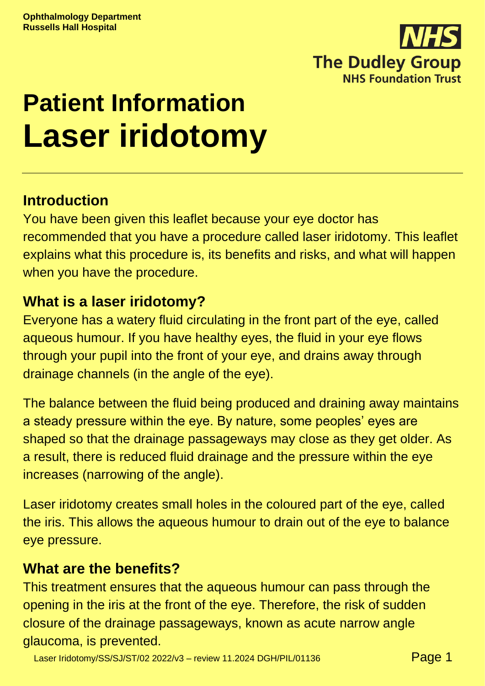

# **Patient Information Laser iridotomy**

# **Introduction**

You have been given this leaflet because your eye doctor has recommended that you have a procedure called laser iridotomy. This leaflet explains what this procedure is, its benefits and risks, and what will happen when you have the procedure.

# **What is a laser iridotomy?**

Everyone has a watery fluid circulating in the front part of the eye, called aqueous humour. If you have healthy eyes, the fluid in your eye flows through your pupil into the front of your eye, and drains away through drainage channels (in the angle of the eye).

The balance between the fluid being produced and draining away maintains a steady pressure within the eye. By nature, some peoples' eyes are shaped so that the drainage passageways may close as they get older. As a result, there is reduced fluid drainage and the pressure within the eye increases (narrowing of the angle).

Laser iridotomy creates small holes in the coloured part of the eye, called the iris. This allows the aqueous humour to drain out of the eye to balance eye pressure.

## **What are the benefits?**

This treatment ensures that the aqueous humour can pass through the opening in the iris at the front of the eye. Therefore, the risk of sudden closure of the drainage passageways, known as acute narrow angle glaucoma, is prevented.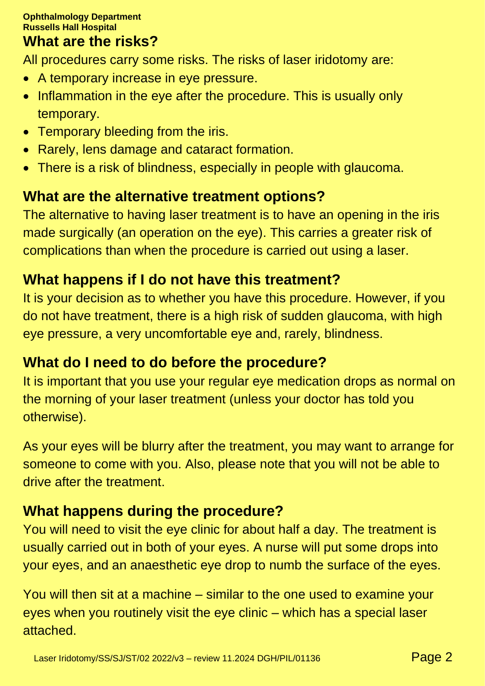## **What are the risks?**

All procedures carry some risks. The risks of laser iridotomy are:

- A temporary increase in eye pressure.
- Inflammation in the eye after the procedure. This is usually only temporary.
- Temporary bleeding from the iris.
- Rarely, lens damage and cataract formation.
- There is a risk of blindness, especially in people with glaucoma.

# **What are the alternative treatment options?**

The alternative to having laser treatment is to have an opening in the iris made surgically (an operation on the eye). This carries a greater risk of complications than when the procedure is carried out using a laser.

# **What happens if I do not have this treatment?**

It is your decision as to whether you have this procedure. However, if you do not have treatment, there is a high risk of sudden glaucoma, with high eye pressure, a very uncomfortable eye and, rarely, blindness.

# **What do I need to do before the procedure?**

It is important that you use your regular eye medication drops as normal on the morning of your laser treatment (unless your doctor has told you otherwise).

As your eyes will be blurry after the treatment, you may want to arrange for someone to come with you. Also, please note that you will not be able to drive after the treatment.

# **What happens during the procedure?**

You will need to visit the eye clinic for about half a day. The treatment is usually carried out in both of your eyes. A nurse will put some drops into your eyes, and an anaesthetic eye drop to numb the surface of the eyes.

You will then sit at a machine – similar to the one used to examine your eyes when you routinely visit the eye clinic – which has a special laser attached.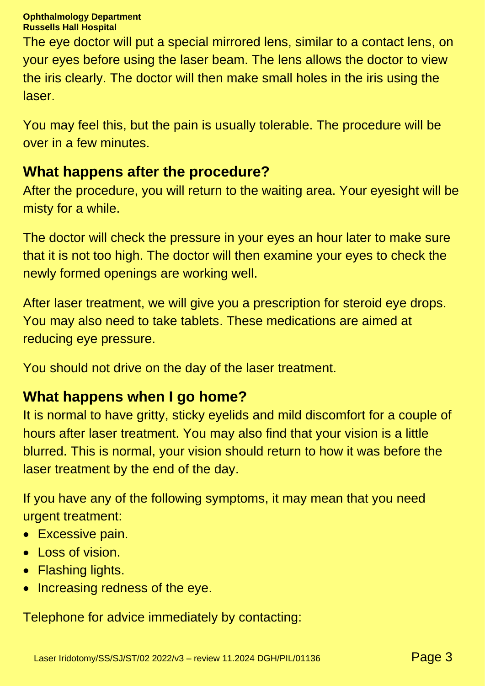#### **Ophthalmology Department Russells Hall Hospital**

The eye doctor will put a special mirrored lens, similar to a contact lens, on your eyes before using the laser beam. The lens allows the doctor to view the iris clearly. The doctor will then make small holes in the iris using the laser.

You may feel this, but the pain is usually tolerable. The procedure will be over in a few minutes.

# **What happens after the procedure?**

After the procedure, you will return to the waiting area. Your eyesight will be misty for a while.

The doctor will check the pressure in your eyes an hour later to make sure that it is not too high. The doctor will then examine your eyes to check the newly formed openings are working well.

After laser treatment, we will give you a prescription for steroid eye drops. You may also need to take tablets. These medications are aimed at reducing eye pressure.

You should not drive on the day of the laser treatment.

## **What happens when I go home?**

It is normal to have gritty, sticky eyelids and mild discomfort for a couple of hours after laser treatment. You may also find that your vision is a little blurred. This is normal, your vision should return to how it was before the laser treatment by the end of the day.

If you have any of the following symptoms, it may mean that you need urgent treatment:

- Excessive pain.
- Loss of vision.
- Flashing lights.
- Increasing redness of the eye.

Telephone for advice immediately by contacting: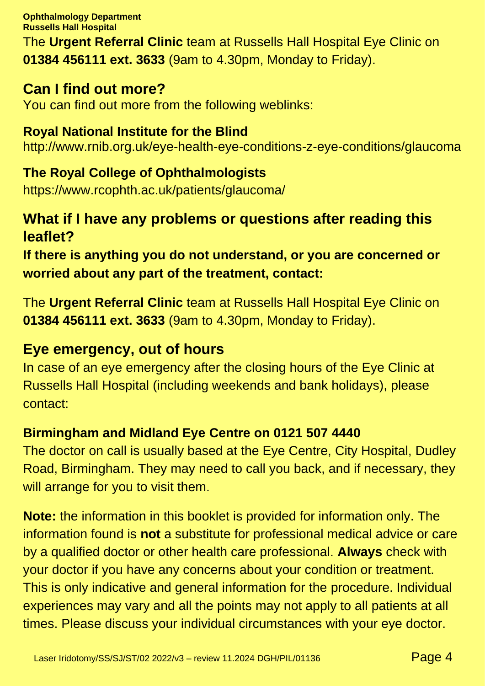**Ophthalmology Department Russells Hall Hospital**

The **Urgent Referral Clinic** team at Russells Hall Hospital Eye Clinic on **01384 456111 ext. 3633** (9am to 4.30pm, Monday to Friday).

### **Can I find out more?**

You can find out more from the following weblinks:

### **Royal National Institute for the Blind** http://www.rnib.org.uk/eye-health-eye-conditions-z-eye-conditions/glaucoma

**The Royal College of Ophthalmologists**  https://www.rcophth.ac.uk/patients/glaucoma/

# **What if I have any problems or questions after reading this leaflet?**

**If there is anything you do not understand, or you are concerned or worried about any part of the treatment, contact:**

The **Urgent Referral Clinic** team at Russells Hall Hospital Eye Clinic on **01384 456111 ext. 3633** (9am to 4.30pm, Monday to Friday).

### **Eye emergency, out of hours**

In case of an eye emergency after the closing hours of the Eye Clinic at Russells Hall Hospital (including weekends and bank holidays), please contact:

### **Birmingham and Midland Eye Centre on 0121 507 4440**

The doctor on call is usually based at the Eye Centre, City Hospital, Dudley Road, Birmingham. They may need to call you back, and if necessary, they will arrange for you to visit them.

**Note:** the information in this booklet is provided for information only. The information found is **not** a substitute for professional medical advice or care by a qualified doctor or other health care professional. **Always** check with your doctor if you have any concerns about your condition or treatment. This is only indicative and general information for the procedure. Individual experiences may vary and all the points may not apply to all patients at all times. Please discuss your individual circumstances with your eye doctor.